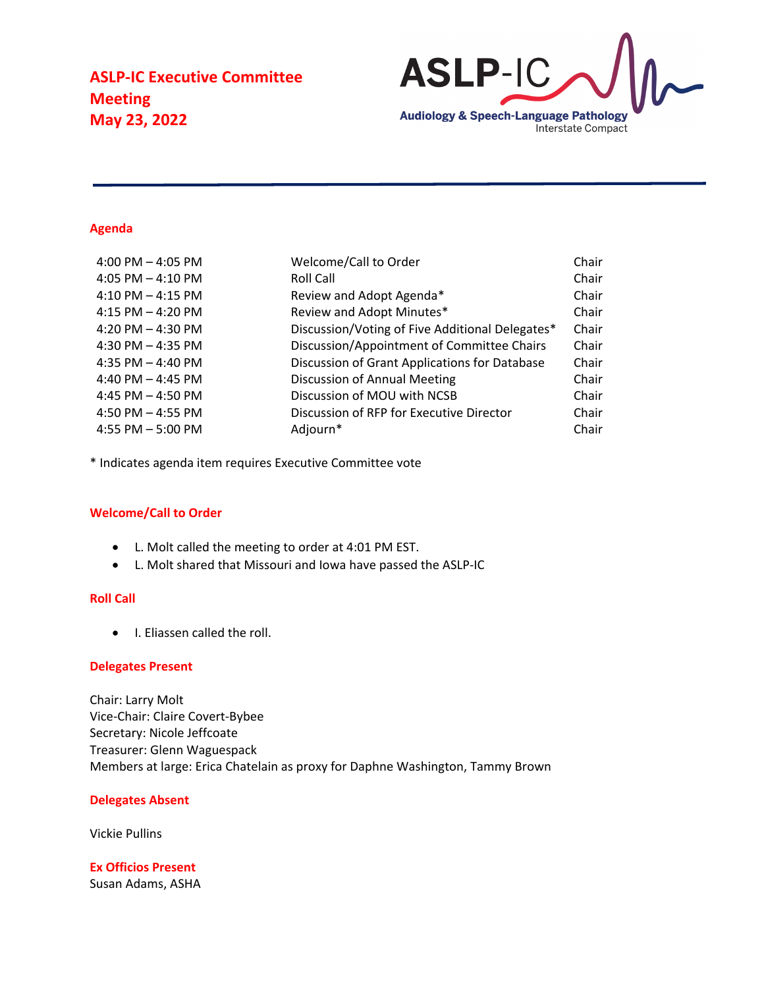

#### **Agenda**

| 4:00 PM $-$ 4:05 PM   | Welcome/Call to Order                           | Chair |
|-----------------------|-------------------------------------------------|-------|
| 4:05 PM $-$ 4:10 PM   | Roll Call                                       | Chair |
| $4:10$ PM $- 4:15$ PM | Review and Adopt Agenda*                        | Chair |
| 4:15 PM $-$ 4:20 PM   | Review and Adopt Minutes*                       | Chair |
| 4:20 PM $-$ 4:30 PM   | Discussion/Voting of Five Additional Delegates* | Chair |
| 4:30 PM $-$ 4:35 PM   | Discussion/Appointment of Committee Chairs      | Chair |
| 4:35 PM $-$ 4:40 PM   | Discussion of Grant Applications for Database   | Chair |
| 4:40 PM $-$ 4:45 PM   | Discussion of Annual Meeting                    | Chair |
| 4:45 PM $-$ 4:50 PM   | Discussion of MOU with NCSB                     | Chair |
| 4:50 PM $-$ 4:55 PM   | Discussion of RFP for Executive Director        | Chair |
| 4:55 PM $-$ 5:00 PM   | Adjourn*                                        | Chair |
|                       |                                                 |       |

\* Indicates agenda item requires Executive Committee vote

### **Welcome/Call to Order**

- L. Molt called the meeting to order at 4:01 PM EST.
- L. Molt shared that Missouri and Iowa have passed the ASLP-IC

### **Roll Call**

• I. Eliassen called the roll.

#### **Delegates Present**

Chair: Larry Molt Vice-Chair: Claire Covert-Bybee Secretary: Nicole Jeffcoate Treasurer: Glenn Waguespack Members at large: Erica Chatelain as proxy for Daphne Washington, Tammy Brown

### **Delegates Absent**

Vickie Pullins

**Ex Officios Present** Susan Adams, ASHA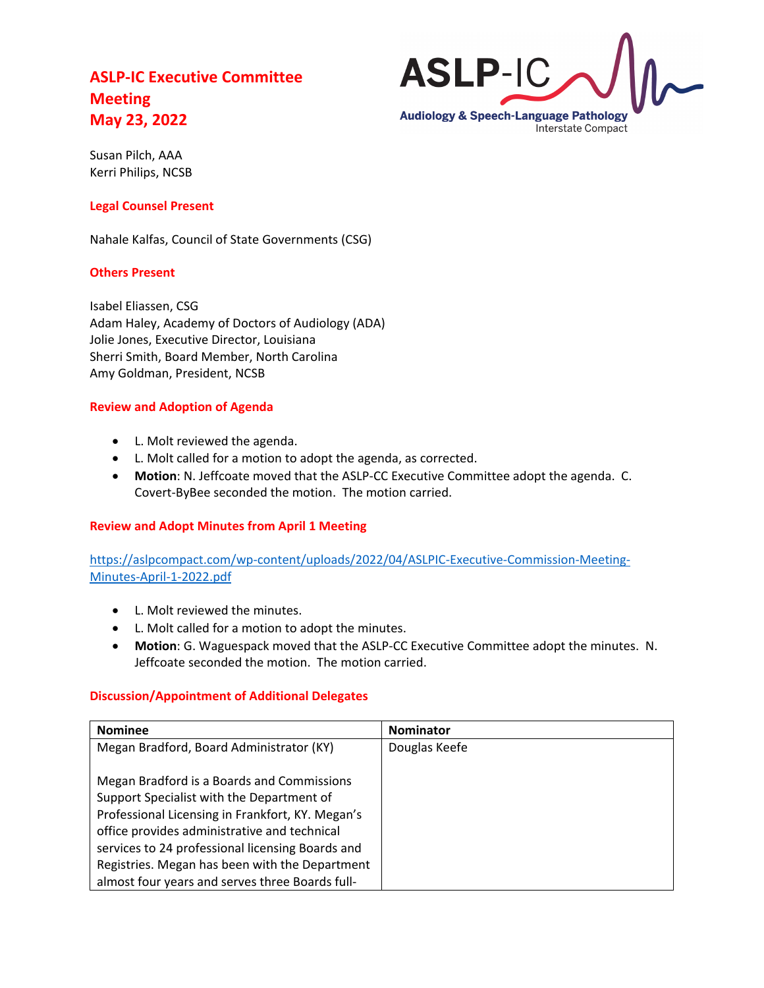

Susan Pilch, AAA Kerri Philips, NCSB

## **Legal Counsel Present**

Nahale Kalfas, Council of State Governments (CSG)

### **Others Present**

Isabel Eliassen, CSG Adam Haley, Academy of Doctors of Audiology (ADA) Jolie Jones, Executive Director, Louisiana Sherri Smith, Board Member, North Carolina Amy Goldman, President, NCSB

### **Review and Adoption of Agenda**

- L. Molt reviewed the agenda.
- L. Molt called for a motion to adopt the agenda, as corrected.
- **Motion**: N. Jeffcoate moved that the ASLP-CC Executive Committee adopt the agenda. C. Covert-ByBee seconded the motion. The motion carried.

## **Review and Adopt Minutes from April 1 Meeting**

[https://aslpcompact.com/wp-content/uploads/2022/04/ASLPIC-Executive-Commission-Meeting-](https://aslpcompact.com/wp-content/uploads/2022/04/ASLPIC-Executive-Commission-Meeting-Minutes-April-1-2022.pdf)[Minutes-April-1-2022.pdf](https://aslpcompact.com/wp-content/uploads/2022/04/ASLPIC-Executive-Commission-Meeting-Minutes-April-1-2022.pdf)

- L. Molt reviewed the minutes.
- L. Molt called for a motion to adopt the minutes.
- **Motion**: G. Waguespack moved that the ASLP-CC Executive Committee adopt the minutes. N. Jeffcoate seconded the motion. The motion carried.

## **Discussion/Appointment of Additional Delegates**

| <b>Nominee</b>                                   | <b>Nominator</b> |
|--------------------------------------------------|------------------|
| Megan Bradford, Board Administrator (KY)         | Douglas Keefe    |
|                                                  |                  |
| Megan Bradford is a Boards and Commissions       |                  |
| Support Specialist with the Department of        |                  |
| Professional Licensing in Frankfort, KY. Megan's |                  |
| office provides administrative and technical     |                  |
| services to 24 professional licensing Boards and |                  |
| Registries. Megan has been with the Department   |                  |
| almost four years and serves three Boards full-  |                  |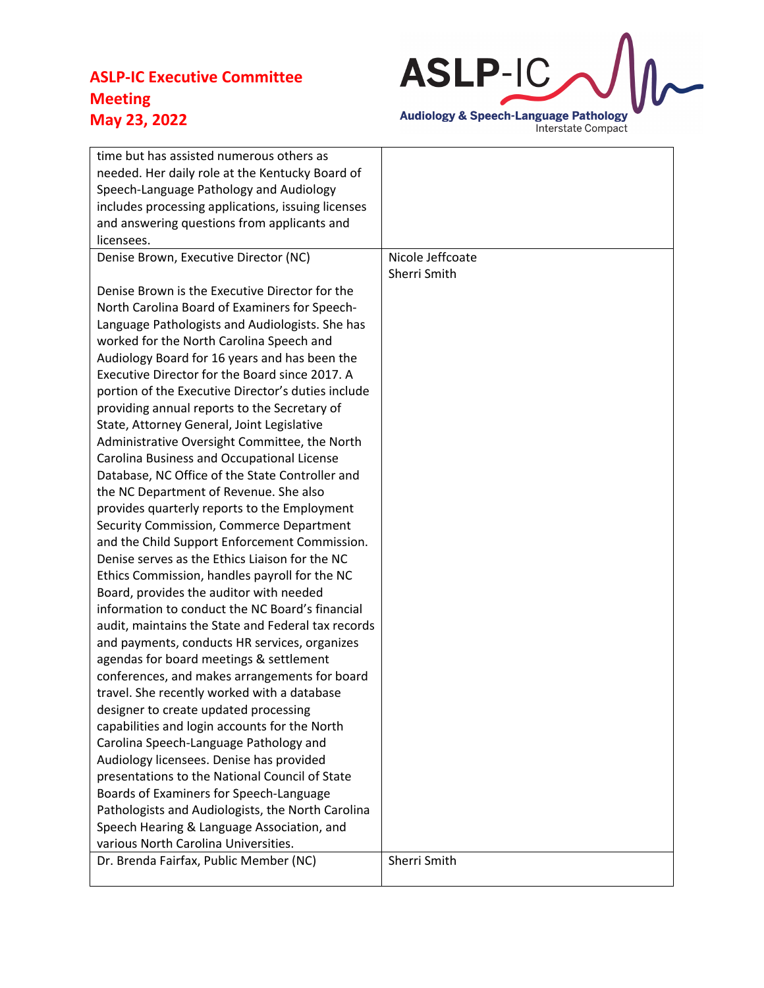

| time but has assisted numerous others as<br>needed. Her daily role at the Kentucky Board of<br>Speech-Language Pathology and Audiology |                  |
|----------------------------------------------------------------------------------------------------------------------------------------|------------------|
| includes processing applications, issuing licenses                                                                                     |                  |
| and answering questions from applicants and<br>licensees.                                                                              |                  |
| Denise Brown, Executive Director (NC)                                                                                                  | Nicole Jeffcoate |
|                                                                                                                                        | Sherri Smith     |
| Denise Brown is the Executive Director for the                                                                                         |                  |
| North Carolina Board of Examiners for Speech-                                                                                          |                  |
| Language Pathologists and Audiologists. She has<br>worked for the North Carolina Speech and                                            |                  |
| Audiology Board for 16 years and has been the                                                                                          |                  |
| Executive Director for the Board since 2017. A                                                                                         |                  |
| portion of the Executive Director's duties include                                                                                     |                  |
| providing annual reports to the Secretary of                                                                                           |                  |
| State, Attorney General, Joint Legislative                                                                                             |                  |
| Administrative Oversight Committee, the North                                                                                          |                  |
| Carolina Business and Occupational License                                                                                             |                  |
| Database, NC Office of the State Controller and                                                                                        |                  |
| the NC Department of Revenue. She also                                                                                                 |                  |
| provides quarterly reports to the Employment                                                                                           |                  |
| Security Commission, Commerce Department                                                                                               |                  |
| and the Child Support Enforcement Commission.<br>Denise serves as the Ethics Liaison for the NC                                        |                  |
| Ethics Commission, handles payroll for the NC                                                                                          |                  |
| Board, provides the auditor with needed                                                                                                |                  |
| information to conduct the NC Board's financial                                                                                        |                  |
| audit, maintains the State and Federal tax records                                                                                     |                  |
| and payments, conducts HR services, organizes                                                                                          |                  |
| agendas for board meetings & settlement                                                                                                |                  |
| conferences, and makes arrangements for board                                                                                          |                  |
| travel. She recently worked with a database                                                                                            |                  |
| designer to create updated processing                                                                                                  |                  |
| capabilities and login accounts for the North                                                                                          |                  |
| Carolina Speech-Language Pathology and                                                                                                 |                  |
| Audiology licensees. Denise has provided<br>presentations to the National Council of State                                             |                  |
| Boards of Examiners for Speech-Language                                                                                                |                  |
| Pathologists and Audiologists, the North Carolina                                                                                      |                  |
| Speech Hearing & Language Association, and                                                                                             |                  |
| various North Carolina Universities.                                                                                                   |                  |
| Dr. Brenda Fairfax, Public Member (NC)                                                                                                 | Sherri Smith     |
|                                                                                                                                        |                  |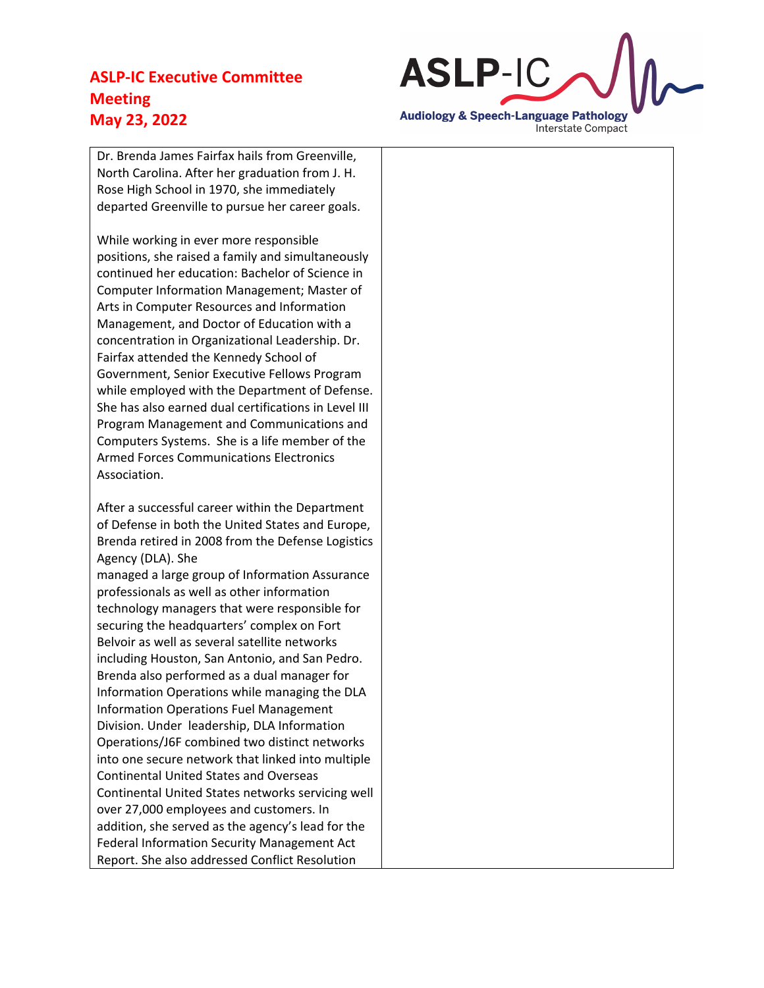

Dr. Brenda James Fairfax hails from Greenville, North Carolina. After her graduation from J. H. Rose High School in 1970, she immediately departed Greenville to pursue her career goals.

While working in ever more responsible positions, she raised a family and simultaneously continued her education: Bachelor of Science in Computer Information Management; Master of Arts in Computer Resources and Information Management, and Doctor of Education with a concentration in Organizational Leadership. Dr. Fairfax attended the Kennedy School of Government, Senior Executive Fellows Program while employed with the Department of Defense. She has also earned dual certifications in Level III Program Management and Communications and Computers Systems. She is a life member of the Armed Forces Communications Electronics Association.

After a successful career within the Department of Defense in both the United States and Europe, Brenda retired in 2008 from the Defense Logistics Agency (DLA). She

managed a large group of Information Assurance professionals as well as other information technology managers that were responsible for securing the headquarters' complex on Fort Belvoir as well as several satellite networks including Houston, San Antonio, and San Pedro. Brenda also performed as a dual manager for Information Operations while managing the DLA Information Operations Fuel Management Division. Under leadership, DLA Information Operations/J6F combined two distinct networks into one secure network that linked into multiple Continental United States and Overseas Continental United States networks servicing well over 27,000 employees and customers. In addition, she served as the agency's lead for the Federal Information Security Management Act Report. She also addressed Conflict Resolution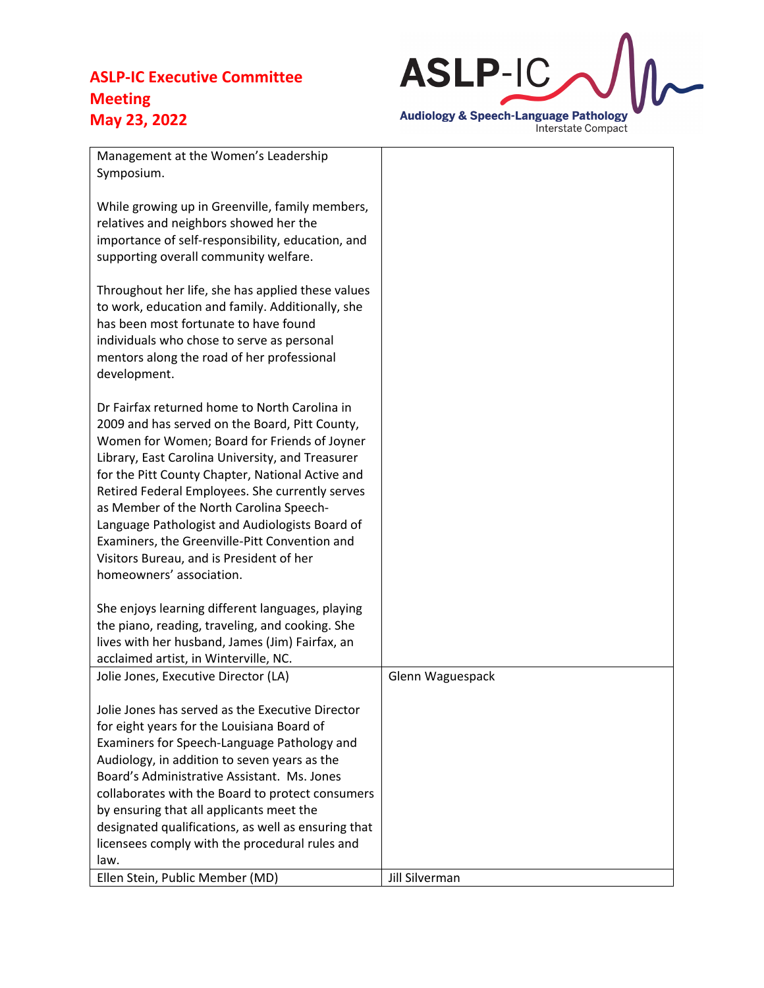

| Management at the Women's Leadership<br>Symposium.                                                                                                                                                                                                                                                                                                                                                                                                                                                                               |                  |
|----------------------------------------------------------------------------------------------------------------------------------------------------------------------------------------------------------------------------------------------------------------------------------------------------------------------------------------------------------------------------------------------------------------------------------------------------------------------------------------------------------------------------------|------------------|
| While growing up in Greenville, family members,<br>relatives and neighbors showed her the<br>importance of self-responsibility, education, and<br>supporting overall community welfare.                                                                                                                                                                                                                                                                                                                                          |                  |
| Throughout her life, she has applied these values<br>to work, education and family. Additionally, she<br>has been most fortunate to have found<br>individuals who chose to serve as personal<br>mentors along the road of her professional<br>development.                                                                                                                                                                                                                                                                       |                  |
| Dr Fairfax returned home to North Carolina in<br>2009 and has served on the Board, Pitt County,<br>Women for Women; Board for Friends of Joyner<br>Library, East Carolina University, and Treasurer<br>for the Pitt County Chapter, National Active and<br>Retired Federal Employees. She currently serves<br>as Member of the North Carolina Speech-<br>Language Pathologist and Audiologists Board of<br>Examiners, the Greenville-Pitt Convention and<br>Visitors Bureau, and is President of her<br>homeowners' association. |                  |
| She enjoys learning different languages, playing<br>the piano, reading, traveling, and cooking. She<br>lives with her husband, James (Jim) Fairfax, an                                                                                                                                                                                                                                                                                                                                                                           |                  |
| acclaimed artist, in Winterville, NC.<br>Jolie Jones, Executive Director (LA)                                                                                                                                                                                                                                                                                                                                                                                                                                                    | Glenn Waguespack |
| Jolie Jones has served as the Executive Director<br>for eight years for the Louisiana Board of<br>Examiners for Speech-Language Pathology and<br>Audiology, in addition to seven years as the<br>Board's Administrative Assistant. Ms. Jones<br>collaborates with the Board to protect consumers<br>by ensuring that all applicants meet the<br>designated qualifications, as well as ensuring that<br>licensees comply with the procedural rules and<br>law.                                                                    |                  |
| Ellen Stein, Public Member (MD)                                                                                                                                                                                                                                                                                                                                                                                                                                                                                                  | Jill Silverman   |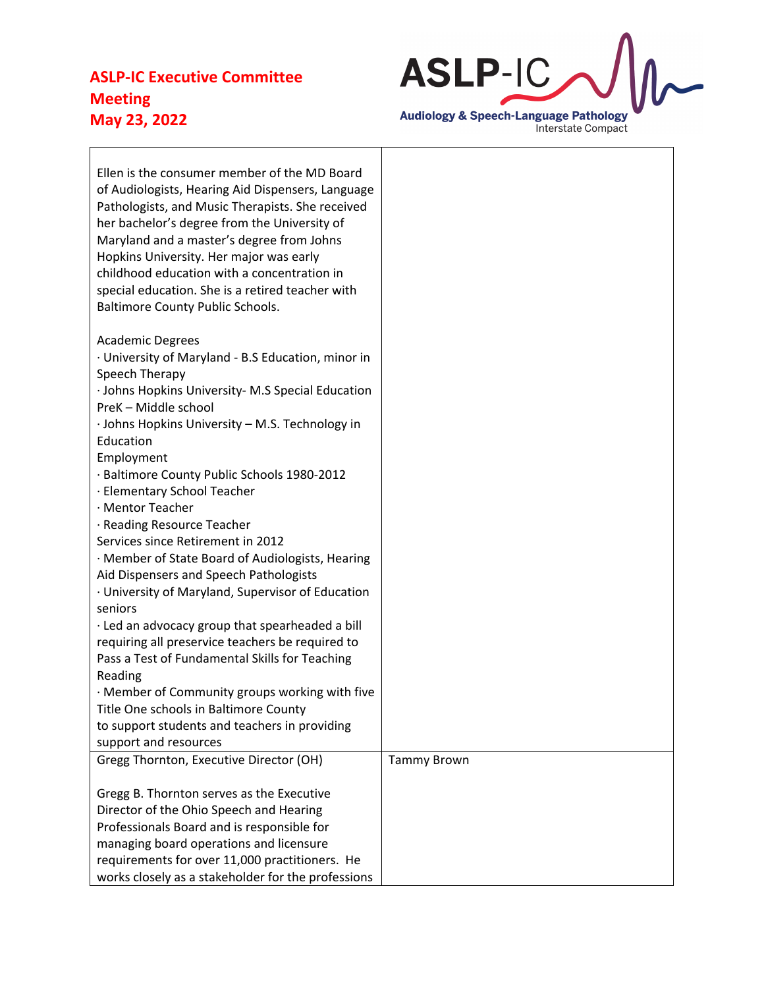

| Ellen is the consumer member of the MD Board<br>of Audiologists, Hearing Aid Dispensers, Language<br>Pathologists, and Music Therapists. She received<br>her bachelor's degree from the University of<br>Maryland and a master's degree from Johns<br>Hopkins University. Her major was early<br>childhood education with a concentration in<br>special education. She is a retired teacher with<br><b>Baltimore County Public Schools.</b> |                    |
|---------------------------------------------------------------------------------------------------------------------------------------------------------------------------------------------------------------------------------------------------------------------------------------------------------------------------------------------------------------------------------------------------------------------------------------------|--------------------|
| <b>Academic Degrees</b>                                                                                                                                                                                                                                                                                                                                                                                                                     |                    |
| · University of Maryland - B.S Education, minor in                                                                                                                                                                                                                                                                                                                                                                                          |                    |
| Speech Therapy<br>· Johns Hopkins University- M.S Special Education                                                                                                                                                                                                                                                                                                                                                                         |                    |
| PreK - Middle school                                                                                                                                                                                                                                                                                                                                                                                                                        |                    |
| · Johns Hopkins University - M.S. Technology in                                                                                                                                                                                                                                                                                                                                                                                             |                    |
| Education                                                                                                                                                                                                                                                                                                                                                                                                                                   |                    |
| Employment                                                                                                                                                                                                                                                                                                                                                                                                                                  |                    |
| · Baltimore County Public Schools 1980-2012                                                                                                                                                                                                                                                                                                                                                                                                 |                    |
| · Elementary School Teacher<br>· Mentor Teacher                                                                                                                                                                                                                                                                                                                                                                                             |                    |
| · Reading Resource Teacher                                                                                                                                                                                                                                                                                                                                                                                                                  |                    |
| Services since Retirement in 2012                                                                                                                                                                                                                                                                                                                                                                                                           |                    |
| · Member of State Board of Audiologists, Hearing                                                                                                                                                                                                                                                                                                                                                                                            |                    |
| Aid Dispensers and Speech Pathologists                                                                                                                                                                                                                                                                                                                                                                                                      |                    |
| · University of Maryland, Supervisor of Education                                                                                                                                                                                                                                                                                                                                                                                           |                    |
| seniors                                                                                                                                                                                                                                                                                                                                                                                                                                     |                    |
| · Led an advocacy group that spearheaded a bill                                                                                                                                                                                                                                                                                                                                                                                             |                    |
| requiring all preservice teachers be required to<br>Pass a Test of Fundamental Skills for Teaching                                                                                                                                                                                                                                                                                                                                          |                    |
| Reading                                                                                                                                                                                                                                                                                                                                                                                                                                     |                    |
| · Member of Community groups working with five                                                                                                                                                                                                                                                                                                                                                                                              |                    |
| Title One schools in Baltimore County                                                                                                                                                                                                                                                                                                                                                                                                       |                    |
| to support students and teachers in providing                                                                                                                                                                                                                                                                                                                                                                                               |                    |
| support and resources                                                                                                                                                                                                                                                                                                                                                                                                                       |                    |
| Gregg Thornton, Executive Director (OH)                                                                                                                                                                                                                                                                                                                                                                                                     | <b>Tammy Brown</b> |
|                                                                                                                                                                                                                                                                                                                                                                                                                                             |                    |
| Gregg B. Thornton serves as the Executive<br>Director of the Ohio Speech and Hearing                                                                                                                                                                                                                                                                                                                                                        |                    |
| Professionals Board and is responsible for                                                                                                                                                                                                                                                                                                                                                                                                  |                    |
| managing board operations and licensure                                                                                                                                                                                                                                                                                                                                                                                                     |                    |
| requirements for over 11,000 practitioners. He                                                                                                                                                                                                                                                                                                                                                                                              |                    |
| works closely as a stakeholder for the professions                                                                                                                                                                                                                                                                                                                                                                                          |                    |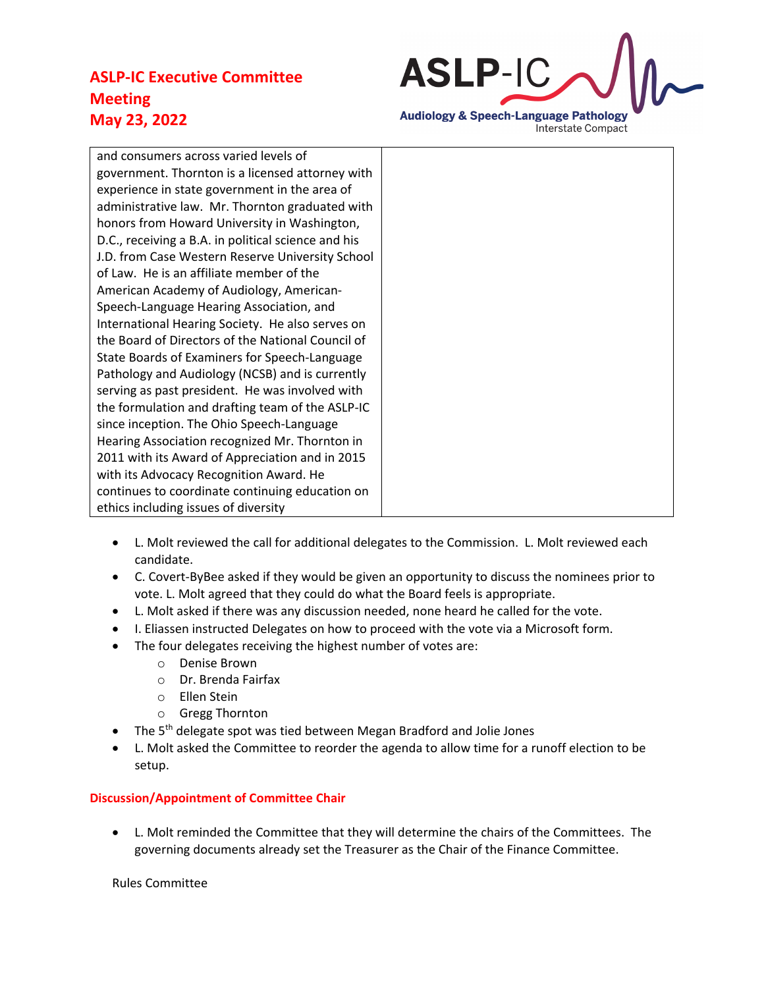

and consumers across varied levels of government. Thornton is a licensed attorney with experience in state government in the area of administrative law. Mr. Thornton graduated with honors from Howard University in Washington, D.C., receiving a B.A. in political science and his J.D. from Case Western Reserve University School of Law. He is an affiliate member of the American Academy of Audiology, American-Speech-Language Hearing Association, and International Hearing Society. He also serves on the Board of Directors of the National Council of State Boards of Examiners for Speech-Language Pathology and Audiology (NCSB) and is currently serving as past president. He was involved with the formulation and drafting team of the ASLP-IC since inception. The Ohio Speech-Language Hearing Association recognized Mr. Thornton in 2011 with its Award of Appreciation and in 2015 with its Advocacy Recognition Award. He continues to coordinate continuing education on ethics including issues of diversity

- L. Molt reviewed the call for additional delegates to the Commission. L. Molt reviewed each candidate.
- C. Covert-ByBee asked if they would be given an opportunity to discuss the nominees prior to vote. L. Molt agreed that they could do what the Board feels is appropriate.
- L. Molt asked if there was any discussion needed, none heard he called for the vote.
- I. Eliassen instructed Delegates on how to proceed with the vote via a Microsoft form.
- The four delegates receiving the highest number of votes are:
	- o Denise Brown
	- o Dr. Brenda Fairfax
	- o Ellen Stein
	- o Gregg Thornton
- The  $5<sup>th</sup>$  delegate spot was tied between Megan Bradford and Jolie Jones
- L. Molt asked the Committee to reorder the agenda to allow time for a runoff election to be setup.

## **Discussion/Appointment of Committee Chair**

• L. Molt reminded the Committee that they will determine the chairs of the Committees. The governing documents already set the Treasurer as the Chair of the Finance Committee.

Rules Committee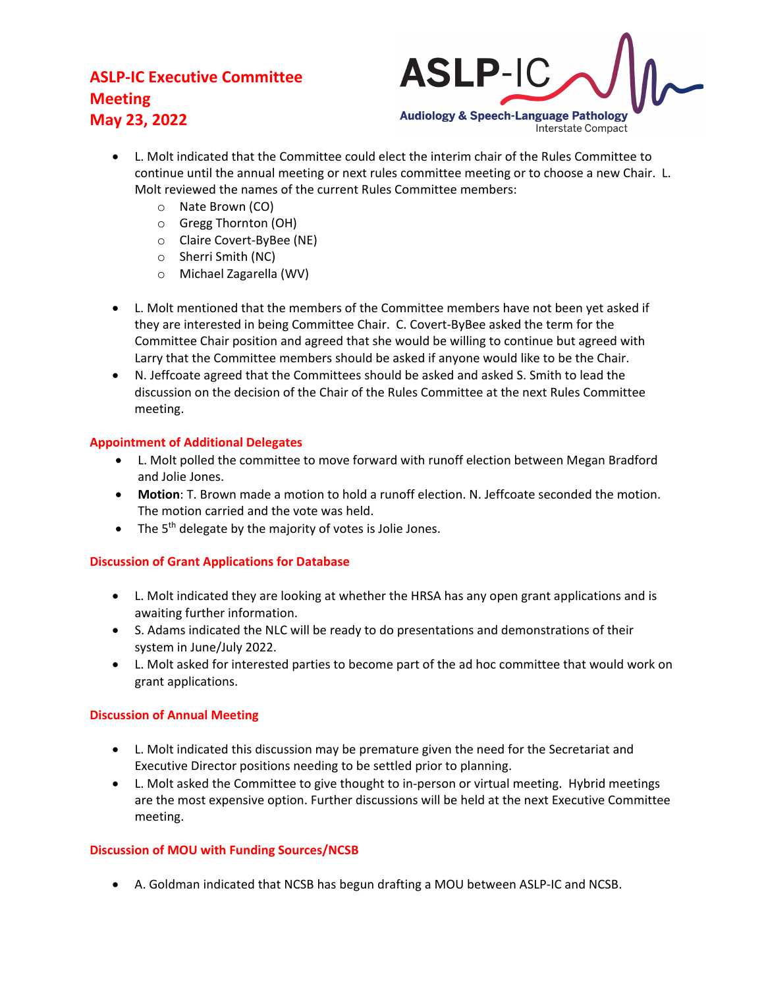

- L. Molt indicated that the Committee could elect the interim chair of the Rules Committee to continue until the annual meeting or next rules committee meeting or to choose a new Chair. L. Molt reviewed the names of the current Rules Committee members:
	- o Nate Brown (CO)
	- o Gregg Thornton (OH)
	- o Claire Covert-ByBee (NE)
	- o Sherri Smith (NC)
	- o Michael Zagarella (WV)
- L. Molt mentioned that the members of the Committee members have not been yet asked if they are interested in being Committee Chair. C. Covert-ByBee asked the term for the Committee Chair position and agreed that she would be willing to continue but agreed with Larry that the Committee members should be asked if anyone would like to be the Chair.
- N. Jeffcoate agreed that the Committees should be asked and asked S. Smith to lead the discussion on the decision of the Chair of the Rules Committee at the next Rules Committee meeting.

# **Appointment of Additional Delegates**

- L. Molt polled the committee to move forward with runoff election between Megan Bradford and Jolie Jones.
- **Motion**: T. Brown made a motion to hold a runoff election. N. Jeffcoate seconded the motion. The motion carried and the vote was held.
- The 5<sup>th</sup> delegate by the majority of votes is Jolie Jones.

## **Discussion of Grant Applications for Database**

- L. Molt indicated they are looking at whether the HRSA has any open grant applications and is awaiting further information.
- S. Adams indicated the NLC will be ready to do presentations and demonstrations of their system in June/July 2022.
- L. Molt asked for interested parties to become part of the ad hoc committee that would work on grant applications.

## **Discussion of Annual Meeting**

- L. Molt indicated this discussion may be premature given the need for the Secretariat and Executive Director positions needing to be settled prior to planning.
- L. Molt asked the Committee to give thought to in-person or virtual meeting. Hybrid meetings are the most expensive option. Further discussions will be held at the next Executive Committee meeting.

## **Discussion of MOU with Funding Sources/NCSB**

• A. Goldman indicated that NCSB has begun drafting a MOU between ASLP-IC and NCSB.